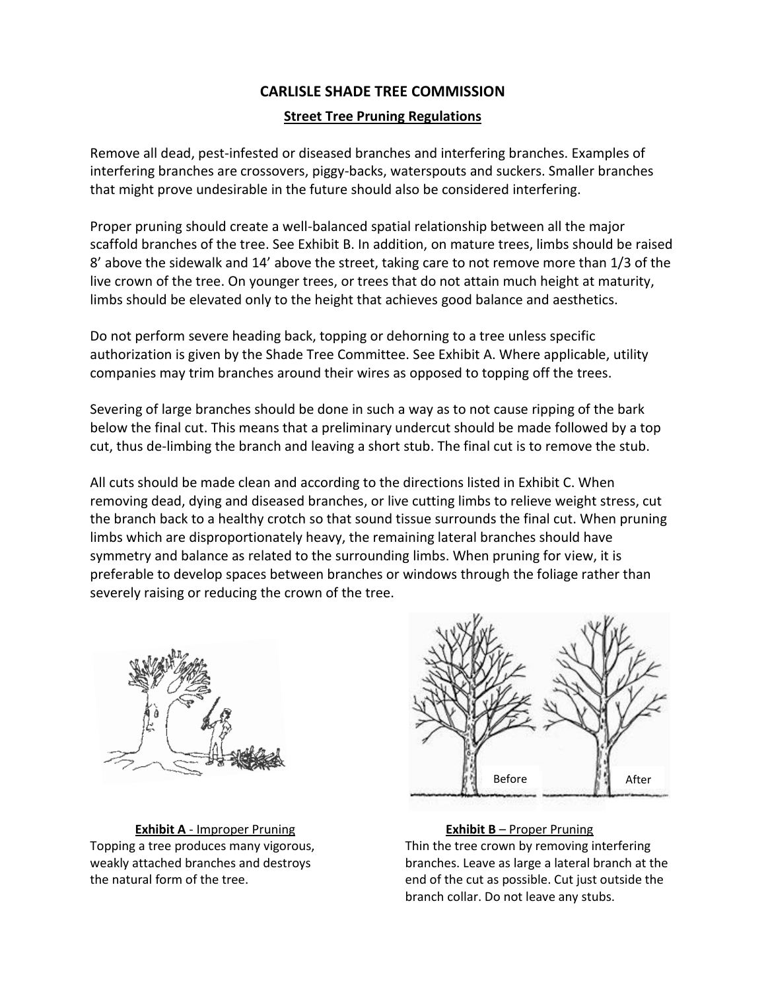## **CARLISLE SHADE TREE COMMISSION Street Tree Pruning Regulations**

Remove all dead, pest-infested or diseased branches and interfering branches. Examples of interfering branches are crossovers, piggy-backs, waterspouts and suckers. Smaller branches that might prove undesirable in the future should also be considered interfering.

Proper pruning should create a well-balanced spatial relationship between all the major scaffold branches of the tree. See Exhibit B. In addition, on mature trees, limbs should be raised 8' above the sidewalk and 14' above the street, taking care to not remove more than 1/3 of the live crown of the tree. On younger trees, or trees that do not attain much height at maturity, limbs should be elevated only to the height that achieves good balance and aesthetics.

Do not perform severe heading back, topping or dehorning to a tree unless specific authorization is given by the Shade Tree Committee. See Exhibit A. Where applicable, utility companies may trim branches around their wires as opposed to topping off the trees.

Severing of large branches should be done in such a way as to not cause ripping of the bark below the final cut. This means that a preliminary undercut should be made followed by a top cut, thus de-limbing the branch and leaving a short stub. The final cut is to remove the stub.

All cuts should be made clean and according to the directions listed in Exhibit C. When removing dead, dying and diseased branches, or live cutting limbs to relieve weight stress, cut the branch back to a healthy crotch so that sound tissue surrounds the final cut. When pruning limbs which are disproportionately heavy, the remaining lateral branches should have symmetry and balance as related to the surrounding limbs. When pruning for view, it is preferable to develop spaces between branches or windows through the foliage rather than severely raising or reducing the crown of the tree.



**Exhibit A** - Improper Pruning **Exhibit B** – Proper Pruning



Topping a tree produces many vigorous, Thin the tree crown by removing interfering weakly attached branches and destroys branches. Leave as large a lateral branch at the the natural form of the tree. end of the cut as possible. Cut just outside the branch collar. Do not leave any stubs.